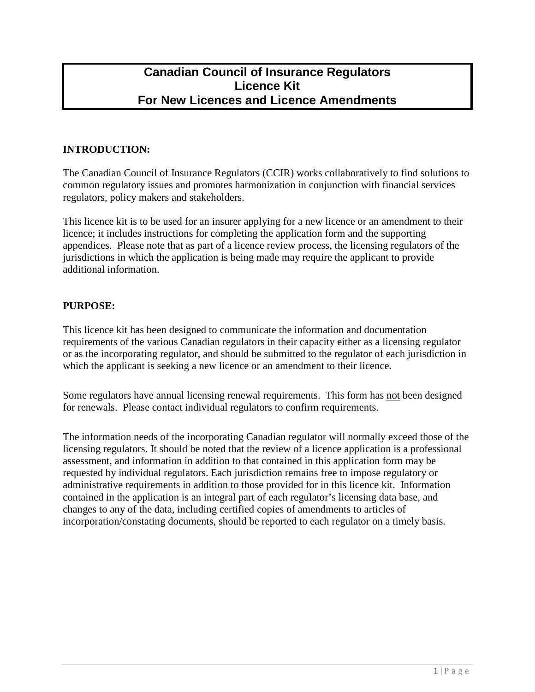## **Canadian Council of Insurance Regulators Licence Kit For New Licences and Licence Amendments**

## **INTRODUCTION:**

The Canadian Council of Insurance Regulators (CCIR) works collaboratively to find solutions to common regulatory issues and promotes harmonization in conjunction with financial services regulators, policy makers and stakeholders.

This licence kit is to be used for an insurer applying for a new licence or an amendment to their licence; it includes instructions for completing the application form and the supporting appendices. Please note that as part of a licence review process, the licensing regulators of the jurisdictions in which the application is being made may require the applicant to provide additional information.

## **PURPOSE:**

This licence kit has been designed to communicate the information and documentation requirements of the various Canadian regulators in their capacity either as a licensing regulator or as the incorporating regulator, and should be submitted to the regulator of each jurisdiction in which the applicant is seeking a new licence or an amendment to their licence.

Some regulators have annual licensing renewal requirements. This form has not been designed for renewals. Please contact individual regulators to confirm requirements.

The information needs of the incorporating Canadian regulator will normally exceed those of the licensing regulators. It should be noted that the review of a licence application is a professional assessment, and information in addition to that contained in this application form may be requested by individual regulators. Each jurisdiction remains free to impose regulatory or administrative requirements in addition to those provided for in this licence kit. Information contained in the application is an integral part of each regulator's licensing data base, and changes to any of the data, including certified copies of amendments to articles of incorporation/constating documents, should be reported to each regulator on a timely basis.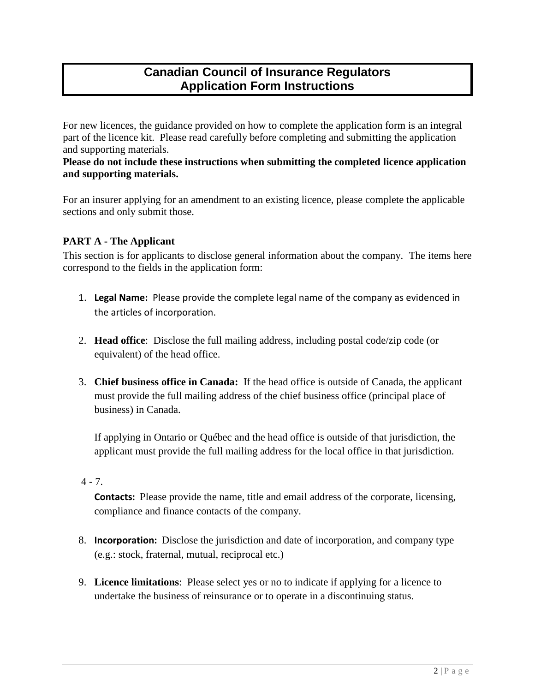# **Canadian Council of Insurance Regulators Application Form Instructions**

For new licences, the guidance provided on how to complete the application form is an integral part of the licence kit. Please read carefully before completing and submitting the application and supporting materials.

### **Please do not include these instructions when submitting the completed licence application and supporting materials.**

For an insurer applying for an amendment to an existing licence, please complete the applicable sections and only submit those.

## **PART A - The Applicant**

This section is for applicants to disclose general information about the company. The items here correspond to the fields in the application form:

- 1. **Legal Name:** Please provide the complete legal name of the company as evidenced in the articles of incorporation.
- 2. **Head office**: Disclose the full mailing address, including postal code/zip code (or equivalent) of the head office.
- 3. **Chief business office in Canada:** If the head office is outside of Canada, the applicant must provide the full mailing address of the chief business office (principal place of business) in Canada.

If applying in Ontario or Québec and the head office is outside of that jurisdiction, the applicant must provide the full mailing address for the local office in that jurisdiction.

## $4 - 7.$

**Contacts:** Please provide the name, title and email address of the corporate, licensing, compliance and finance contacts of the company.

- 8. **Incorporation:** Disclose the jurisdiction and date of incorporation, and company type (e.g.: stock, fraternal, mutual, reciprocal etc.)
- 9. **Licence limitations**: Please select yes or no to indicate if applying for a licence to undertake the business of reinsurance or to operate in a discontinuing status.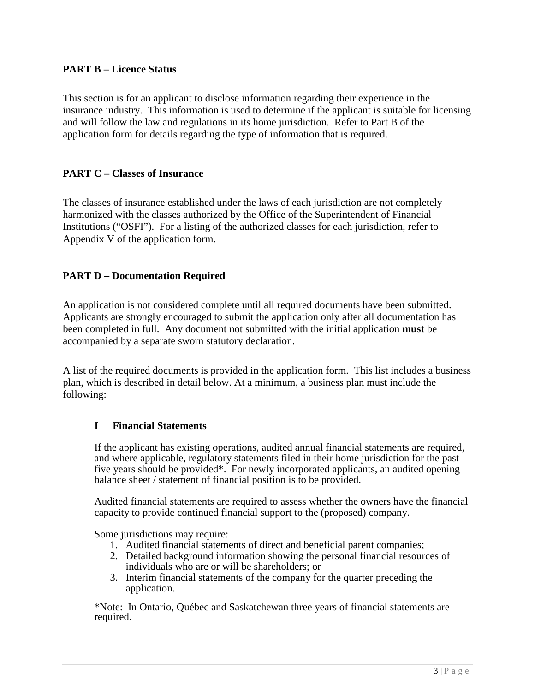## **PART B – Licence Status**

This section is for an applicant to disclose information regarding their experience in the insurance industry. This information is used to determine if the applicant is suitable for licensing and will follow the law and regulations in its home jurisdiction. Refer to Part B of the application form for details regarding the type of information that is required.

## **PART C – Classes of Insurance**

The classes of insurance established under the laws of each jurisdiction are not completely harmonized with the classes authorized by the Office of the Superintendent of Financial Institutions ("OSFI"). For a listing of the authorized classes for each jurisdiction, refer to Appendix V of the application form.

## **PART D – Documentation Required**

An application is not considered complete until all required documents have been submitted. Applicants are strongly encouraged to submit the application only after all documentation has been completed in full. Any document not submitted with the initial application **must** be accompanied by a separate sworn statutory declaration.

A list of the required documents is provided in the application form. This list includes a business plan, which is described in detail below. At a minimum, a business plan must include the following:

## **I Financial Statements**

If the applicant has existing operations, audited annual financial statements are required, and where applicable, regulatory statements filed in their home jurisdiction for the past five years should be provided\*. For newly incorporated applicants, an audited opening balance sheet / statement of financial position is to be provided.

Audited financial statements are required to assess whether the owners have the financial capacity to provide continued financial support to the (proposed) company.

Some jurisdictions may require:

- 1. Audited financial statements of direct and beneficial parent companies;
- 2. Detailed background information showing the personal financial resources of individuals who are or will be shareholders; or
- 3. Interim financial statements of the company for the quarter preceding the application.

\*Note: In Ontario, Québec and Saskatchewan three years of financial statements are required.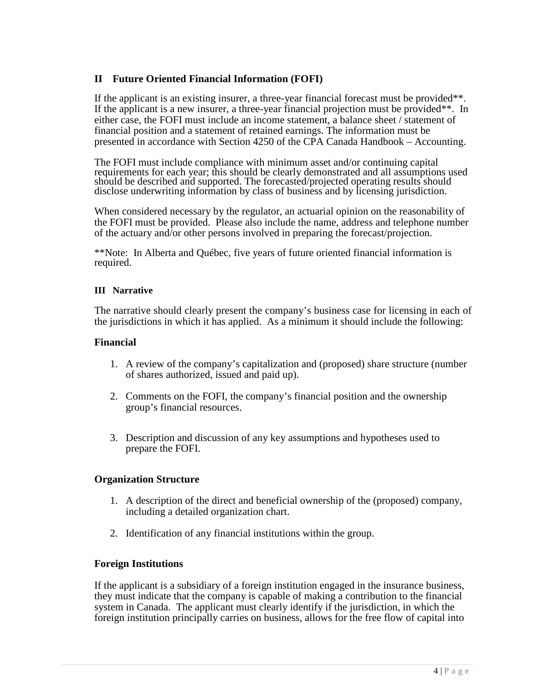## **II Future Oriented Financial Information (FOFI)**

If the applicant is an existing insurer, a three-year financial forecast must be provided\*\*. If the applicant is a new insurer, a three-year financial projection must be provided\*\*. In either case, the FOFI must include an income statement, a balance sheet / statement of financial position and a statement of retained earnings. The information must be presented in accordance with Section 4250 of the CPA Canada Handbook – Accounting.

The FOFI must include compliance with minimum asset and/or continuing capital requirements for each year; this should be clearly demonstrated and all assumptions used should be described and supported. The forecasted/projected operating results should disclose underwriting information by class of business and by licensing jurisdiction.

When considered necessary by the regulator, an actuarial opinion on the reasonability of the FOFI must be provided. Please also include the name, address and telephone number of the actuary and/or other persons involved in preparing the forecast/projection.

\*\*Note: In Alberta and Québec, five years of future oriented financial information is required.

#### **III Narrative**

The narrative should clearly present the company's business case for licensing in each of the jurisdictions in which it has applied. As a minimum it should include the following:

#### **Financial**

- 1. A review of the company's capitalization and (proposed) share structure (number of shares authorized, issued and paid up).
- 2. Comments on the FOFI, the company's financial position and the ownership group's financial resources.
- 3. Description and discussion of any key assumptions and hypotheses used to prepare the FOFI.

## **Organization Structure**

- 1. A description of the direct and beneficial ownership of the (proposed) company, including a detailed organization chart.
- 2. Identification of any financial institutions within the group.

#### **Foreign Institutions**

If the applicant is a subsidiary of a foreign institution engaged in the insurance business, they must indicate that the company is capable of making a contribution to the financial system in Canada. The applicant must clearly identify if the jurisdiction, in which the foreign institution principally carries on business, allows for the free flow of capital into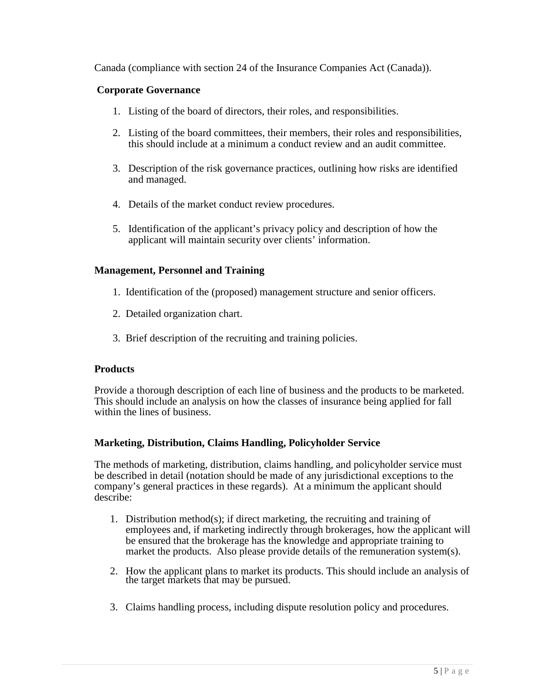Canada (compliance with section 24 of the Insurance Companies Act (Canada)).

### **Corporate Governance**

- 1. Listing of the board of directors, their roles, and responsibilities.
- 2. Listing of the board committees, their members, their roles and responsibilities, this should include at a minimum a conduct review and an audit committee.
- 3. Description of the risk governance practices, outlining how risks are identified and managed.
- 4. Details of the market conduct review procedures.
- 5. Identification of the applicant's privacy policy and description of how the applicant will maintain security over clients' information.

#### **Management, Personnel and Training**

- 1. Identification of the (proposed) management structure and senior officers.
- 2. Detailed organization chart.
- 3. Brief description of the recruiting and training policies.

#### **Products**

Provide a thorough description of each line of business and the products to be marketed. This should include an analysis on how the classes of insurance being applied for fall within the lines of business.

## **Marketing, Distribution, Claims Handling, Policyholder Service**

The methods of marketing, distribution, claims handling, and policyholder service must be described in detail (notation should be made of any jurisdictional exceptions to the company's general practices in these regards). At a minimum the applicant should describe:

- 1. Distribution method(s); if direct marketing, the recruiting and training of employees and, if marketing indirectly through brokerages, how the applicant will be ensured that the brokerage has the knowledge and appropriate training to market the products. Also please provide details of the remuneration system(s).
- 2. How the applicant plans to market its products. This should include an analysis of the target markets that may be pursued.
- 3. Claims handling process, including dispute resolution policy and procedures.